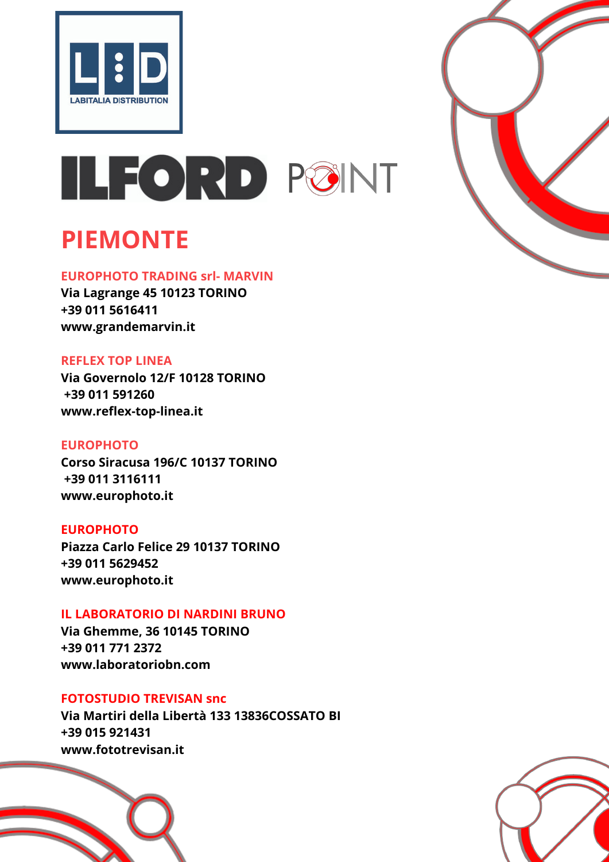



## **PIEMONTE**

#### **EUROPHOTO TRADING srl- MARVIN**

**Via Lagrange 45 10123 TORINO +39 011 5616411 www.grandemarvin.it**

## **REFLEX TOP LINEA**

**Via Governolo 12/F 10128 TORINO +39 011 591260 www.reflex-top-linea.it**

## **EUROPHOTO**

**Corso Siracusa 196/C 10137 TORINO +39 011 3116111 www.europhoto.it**

#### **EUROPHOTO**

**Piazza Carlo Felice 29 10137 TORINO +39 011 5629452 www.europhoto.it**

#### **IL LABORATORIO DI NARDINI BRUNO**

**Via Ghemme, 36 10145 TORINO +39 011 771 2372 www.laboratoriobn.com**

#### **FOTOSTUDIO TREVISAN snc**

**Via Martiri della Libertà 133 13836COSSATO BI +39 015 921431 www.fototrevisan.it**





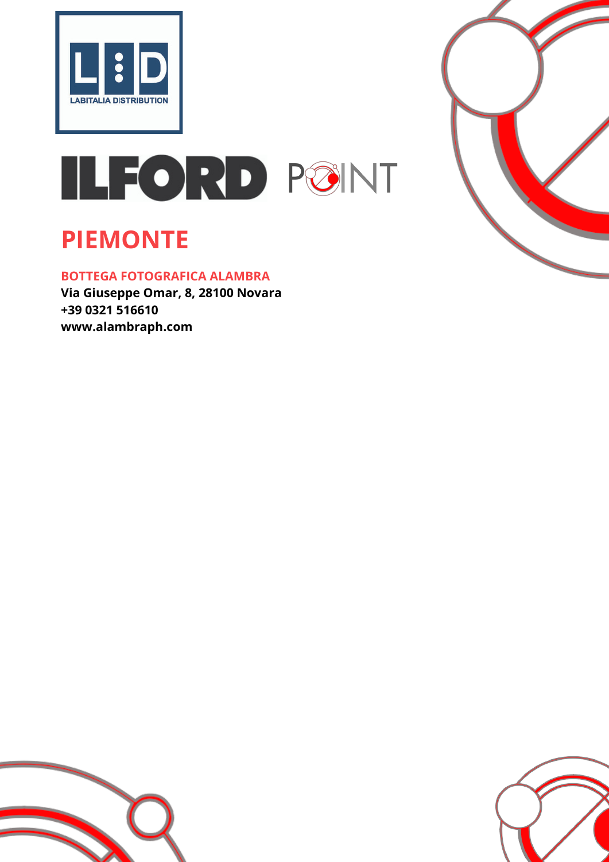



## **PIEMONTE**

## **BOTTEGA FOTOGRAFICA ALAMBRA**

**Via Giuseppe Omar, 8, 28100 Novara +39 0321 516610 www.alambraph.com**



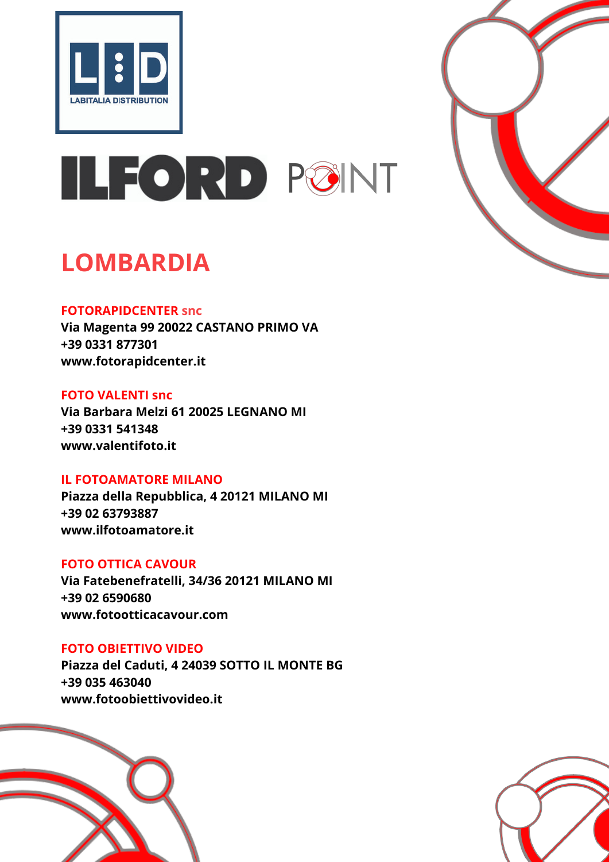



## **LOMBARDIA**

## **FOTORAPIDCENTER snc**

**Via Magenta 99 20022 CASTANO PRIMO VA +39 0331 877301 www.fotorapidcenter.it**

## **FOTO VALENTI snc**

**Via Barbara Melzi 61 20025 LEGNANO MI +39 0331 541348 www.valentifoto.it**

## **IL FOTOAMATORE MILANO**

**Piazza della Repubblica, 4 20121 MILANO MI +39 02 63793887 www.ilfotoamatore.it**

## **FOTO OTTICA CAVOUR**

**Via Fatebenefratelli, 34/36 20121 MILANO MI +39 02 6590680 www.fotootticacavour.com**

## **FOTO OBIETTIVO VIDEO**

**Piazza del Caduti, 4 24039 SOTTO IL MONTE BG +39 035 463040 www.fotoobiettivovideo.it**



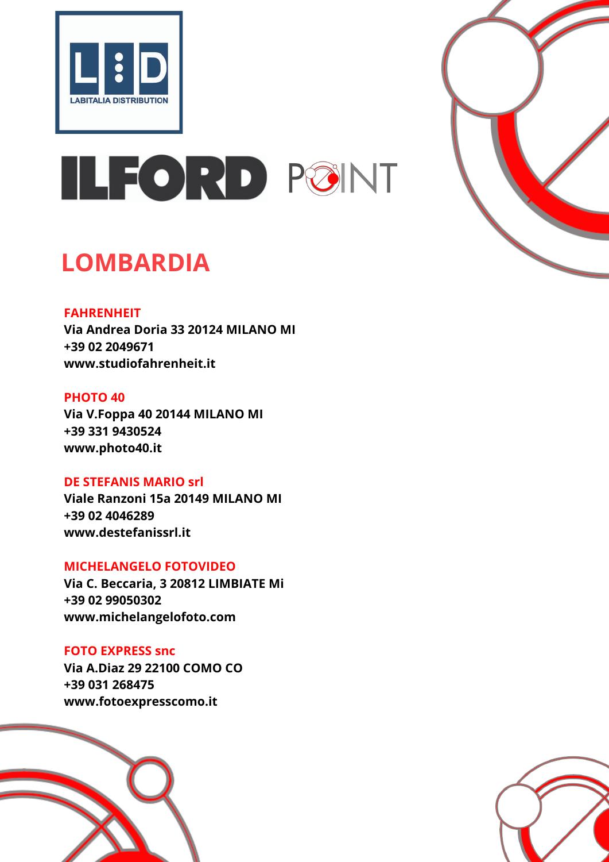



## **LOMBARDIA**

## **FAHRENHEIT**

**Via Andrea Doria 33 20124 MILANO MI +39 02 2049671 www.studiofahrenheit.it**

## **PHOTO 40**

**Via V.Foppa 40 20144 MILANO MI +39 331 9430524 www.photo40.it**

## **DE STEFANIS MARIO srl**

**Viale Ranzoni 15a 20149 MILANO MI +39 02 4046289 www.destefanissrl.it**

## **MICHELANGELO FOTOVIDEO**

**Via C. Beccaria, 3 20812 LIMBIATE Mi +39 02 99050302 www.michelangelofoto.com**

## **FOTO EXPRESS snc**

**Via A.Diaz 29 22100 COMO CO +39 031 268475 www.fotoexpresscomo.it**



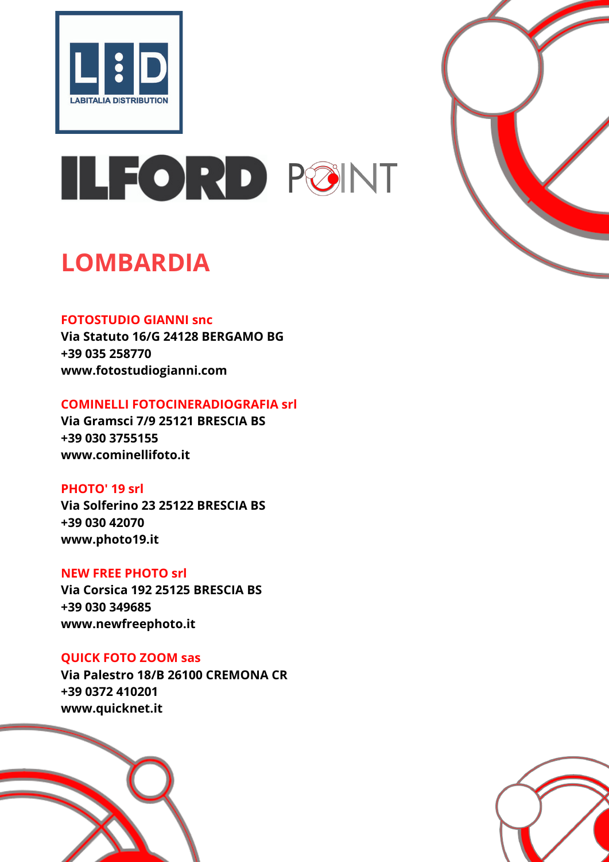



## **LOMBARDIA**

## **FOTOSTUDIO GIANNI snc**

**Via Statuto 16/G 24128 BERGAMO BG +39 035 258770 www.fotostudiogianni.com**

## **COMINELLI FOTOCINERADIOGRAFIA srl**

**Via Gramsci 7/9 25121 BRESCIA BS +39 030 3755155 www.cominellifoto.it**

## **PHOTO' 19 srl**

**Via Solferino 23 25122 BRESCIA BS +39 030 42070 www.photo19.it**

## **NEW FREE PHOTO srl**

**Via Corsica 192 25125 BRESCIA BS +39 030 349685 www.newfreephoto.it**

## **QUICK FOTO ZOOM sas**

**Via Palestro 18/B 26100 CREMONA CR +39 0372 410201 www.quicknet.it**



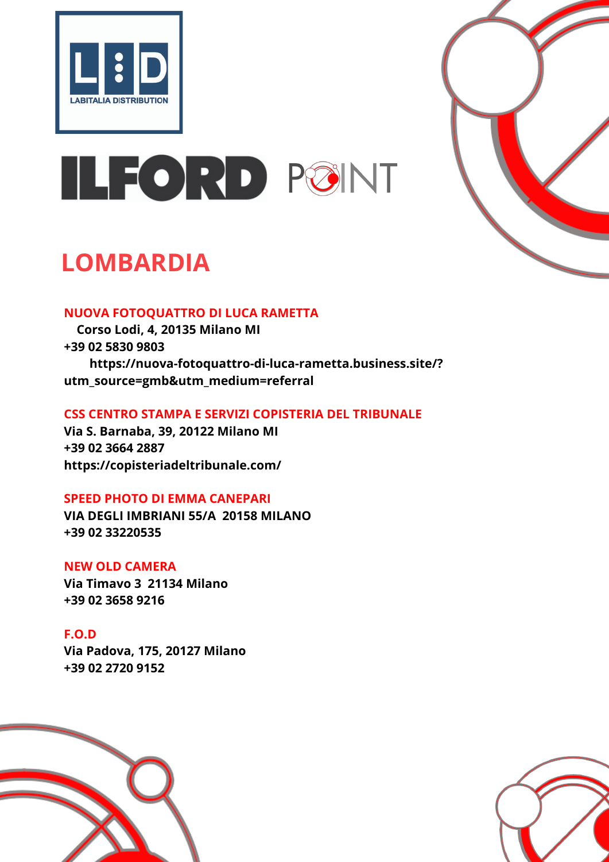



## **LOMBARDIA**

## **NUOVA FOTOQUATTRO DI LUCA RAMETTA**

**Corso Lodi, 4, 20135 Milano MI +39 02 5830 9803 https://nuova-fotoquattro-di-luca-rametta.business.site/? utm\_source=gmb&utm\_medium=referral**

## **CSS CENTRO STAMPA E SERVIZI COPISTERIA DEL TRIBUNALE**

**Via S. Barnaba, 39, 20122 Milano MI +39 02 3664 2887 https://copisteriadeltribunale.com/**

## **SPEED PHOTO DI EMMA CANEPARI**

**VIA DEGLI IMBRIANI 55/A 20158 MILANO +39 02 33220535**

## **NEW OLD CAMERA**

**Via Timavo 3 21134 Milano +39 02 3658 9216**

## **F.O.D**

**Via Padova, 175, 20127 Milano +39 02 2720 9152**



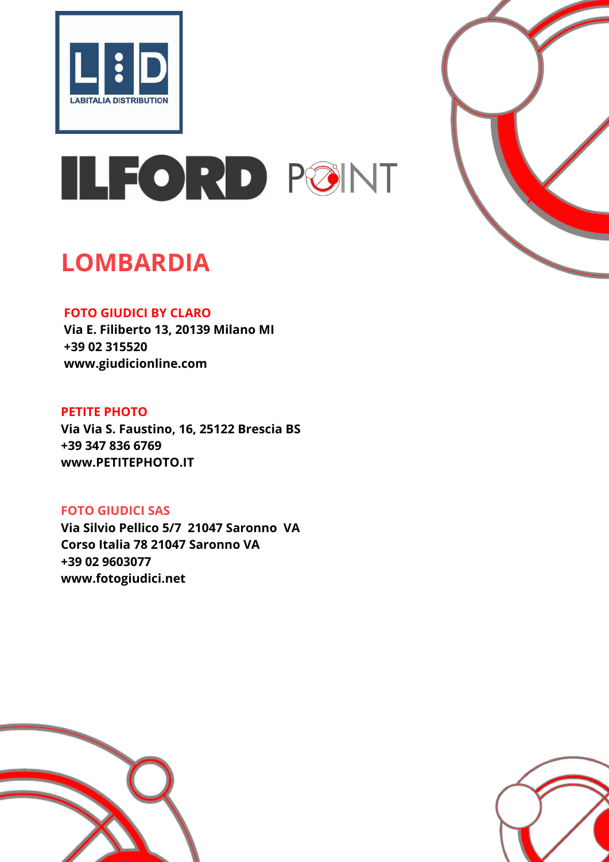



## **LOMBARDIA**

## **FOTO GIUDICI BY CLARO**

**Via E. Filiberto 13, 20139 Milano MI +39 02 315520 www.giudicionline.com**

## **PETITE PHOTO**

**Via Via S. Faustino, 16, 25122 Brescia BS +39 [347 836 6769](https://www.google.com/search?q=PETIT+PHOTO&oq=PETIT+PHOTO&aqs=chrome..69i57j0i10l3j0i22i30l6.18440j0j4&sourceid=chrome&ie=UTF-8#) www.PETITEPHOTO.IT**

## **FOTO GIUDICI SAS**

**Via Silvio Pellico 5/7 21047 Saronno VA Corso Italia 78 21047 Saronno VA +39 [0](https://www.google.com/search?q=PETIT+PHOTO&oq=PETIT+PHOTO&aqs=chrome..69i57j0i10l3j0i22i30l6.18440j0j4&sourceid=chrome&ie=UTF-8#)2 9603077 www.fotogiudici.net**



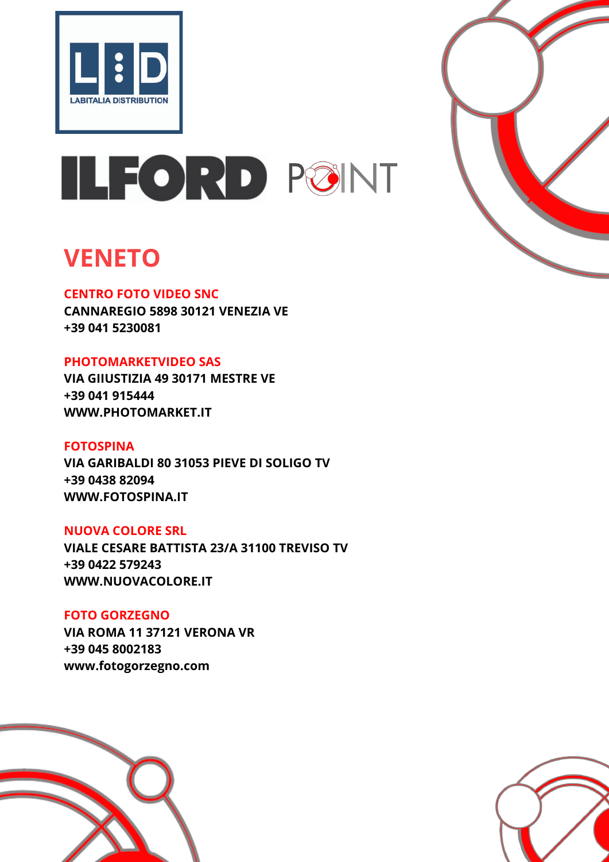



## **VENETO**

## **CENTRO FOTO VIDEO SNC**

**CANNAREGIO 5898 30121 VENEZIA VE +39 041 5230081**

## **PHOTOMARKETVIDEO SAS**

**VIA GIIUSTIZIA 49 30171 MESTRE VE +39 041 915444 WWW.PHOTOMARKET.IT**

## **FOTOSPINA**

**VIA GARIBALDI 80 31053 PIEVE DI SOLIGO TV +39 0438 82094 WWW.FOTOSPINA.IT**

## **NUOVA COLORE SRL**

**VIALE CESARE BATTISTA 23/A 31100 TREVISO TV +39 0422 579243 WWW.NUOVACOLORE.IT**

## **FOTO GORZEGNO VIA ROMA 11 37121 VERONA VR +39 045 8002183 www.fotogorzegno.com**



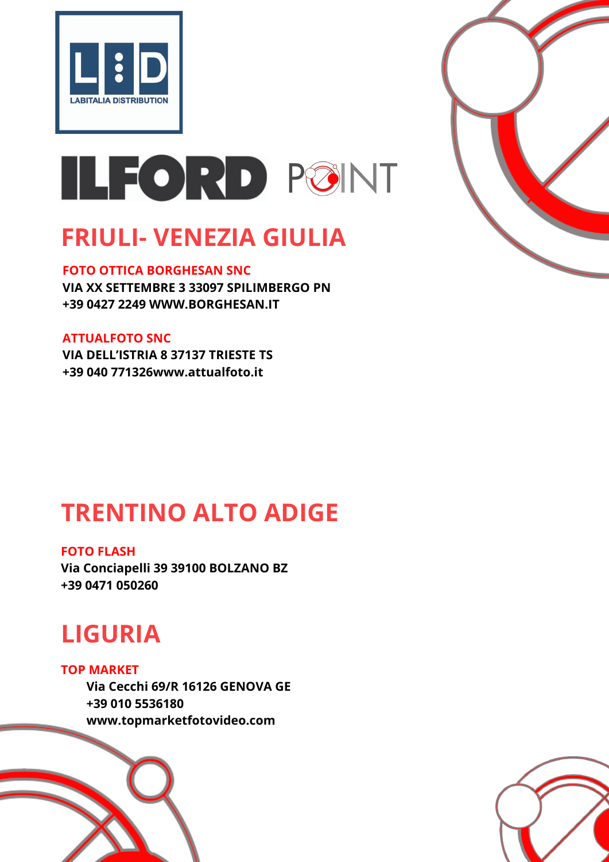



## **FRIULI- VENEZIA GIULIA**

#### **FOTO OTTICA BORGHESAN SNC**

**VIA XX SETTEMBRE 3 33097 SPILIMBERGO PN +39 0427 2249 WWW.BORGHESAN.IT**

#### **ATTUALFOTO SNC**

**VIA DELL'ISTRIA 8 37137 TRIESTE TS +39 040 771326www.attualfoto.it**

## **TRENTINO ALTO ADIGE**

#### **FOTO FLASH**

**Via Conciapelli 39 39100 BOLZANO BZ +39 0471 050260**

## **LIGURIA**

**TOP MARKET Via Cecchi 69/R 16126 GENOVA GE +39 010 5536180 www.topmarketfotovideo.com**



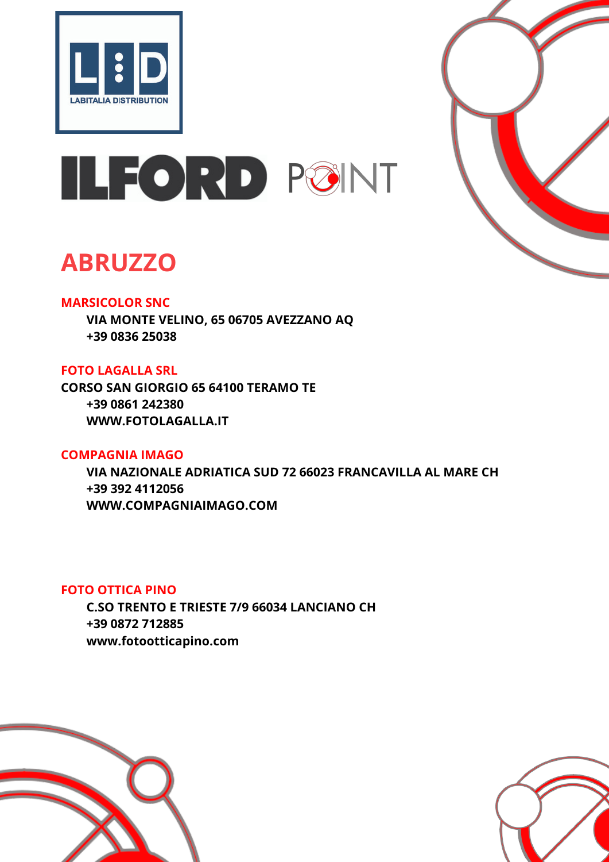



## **ABRUZZO**

## **MARSICOLOR SNC**

**VIA MONTE VELINO, 65 06705 AVEZZANO AQ +39 0836 25038**

## **FOTO LAGALLA SRL**

**CORSO SAN GIORGIO 65 64100 TERAMO TE +39 0861 242380 WWW.FOTOLAGALLA.IT**

## **COMPAGNIA IMAGO**

**VIA NAZIONALE ADRIATICA SUD 72 66023 FRANCAVILLA AL MARE CH +39 392 4112056 WWW.COMPAGNIAIMAGO.COM**

## **FOTO OTTICA PINO**

**C.SO TRENTO E TRIESTE 7/9 66034 LANCIANO CH +39 0872 712885 www.fotootticapino.com**



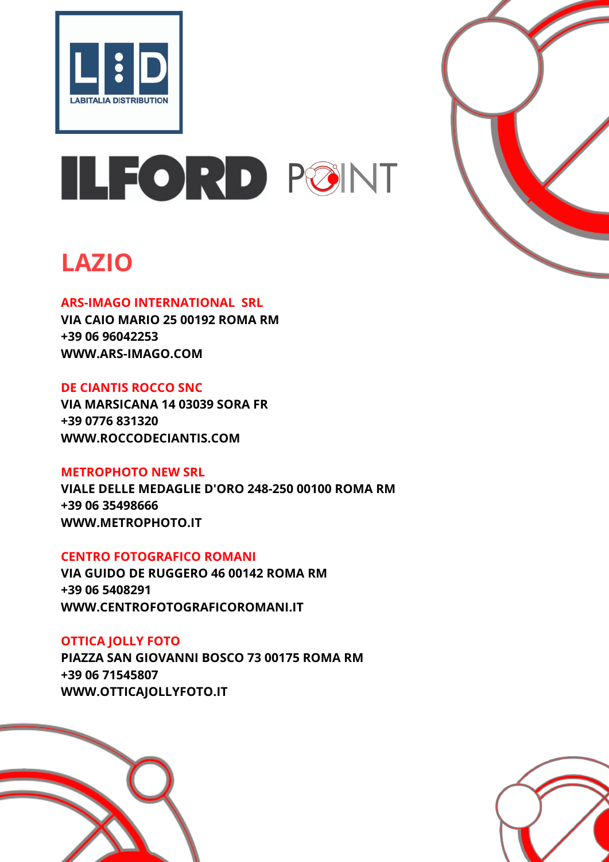



## **LAZIO**

## **ARS-IMAGO INTERNATIONAL SRL**

**VIA CAIO MARIO 25 00192 ROMA RM +39 06 96042253 WWW.ARS-IMAGO.COM**

## **DE CIANTIS ROCCO SNC**

**VIA MARSICANA 14 03039 SORA FR +39 0776 831320 WWW.ROCCODECIANTIS.COM**

## **METROPHOTO NEW SRL**

**VIALE DELLE MEDAGLIE D'ORO 248-250 00100 ROMA RM +39 06 35498666 WWW.METROPHOTO.IT**

## **CENTRO FOTOGRAFICO ROMANI**

**VIA GUIDO DE RUGGERO 46 00142 ROMA RM +39 06 5408291 WWW.CENTROFOTOGRAFICOROMANI.IT**

## **OTTICA JOLLY FOTO**

**PIAZZA SAN GIOVANNI BOSCO 73 00175 ROMA RM +39 06 71545807 WWW.OTTICAJOLLYFOTO.IT**



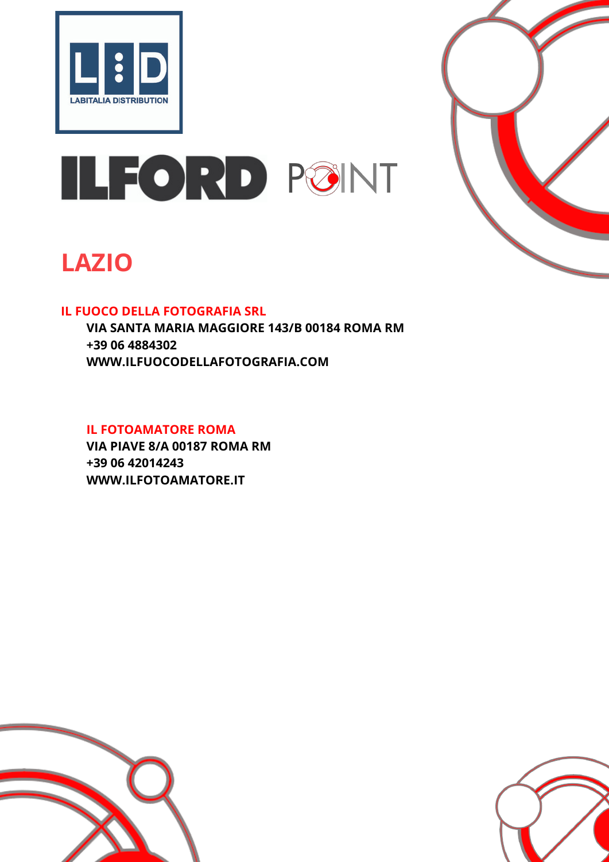



## **LAZIO**

## **IL FUOCO DELLA FOTOGRAFIA SRL**

**VIA SANTA MARIA MAGGIORE 143/B 00184 ROMA RM +39 06 4884302 WWW.ILFUOCODELLAFOTOGRAFIA.COM**

#### **IL FOTOAMATORE ROMA**

**VIA PIAVE 8/A 00187 ROMA RM +39 06 42014243 WWW.ILFOTOAMATORE.IT**



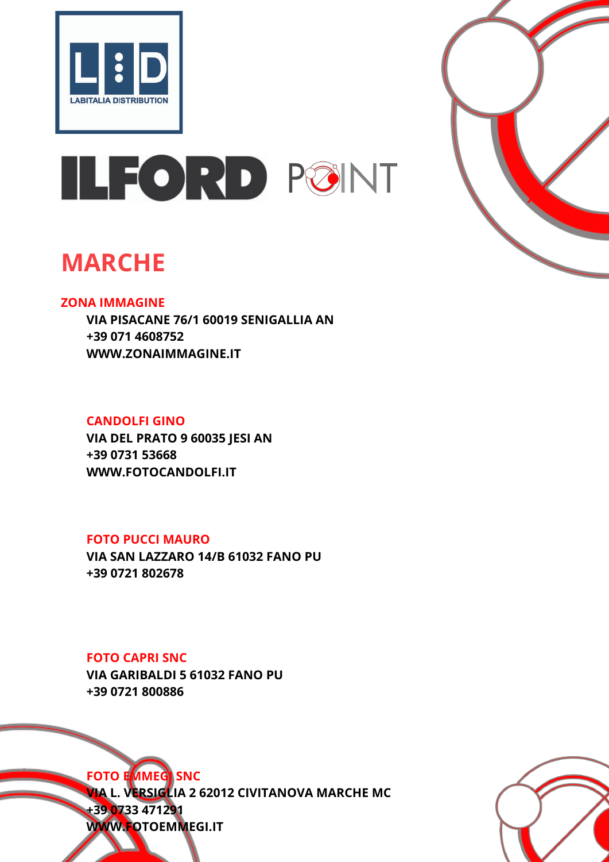



## **MARCHE**

## **ZONA IMMAGINE**

**VIA PISACANE 76/1 60019 SENIGALLIA AN +39 071 4608752 WWW.ZONAIMMAGINE.IT**

## **CANDOLFI GINO**

**VIA DEL PRATO 9 60035 JESI AN +39 0731 53668 WWW.FOTOCANDOLFI.IT**

## **FOTO PUCCI MAURO**

**VIA SAN LAZZARO 14/B 61032 FANO PU +39 0721 802678**

**FOTO CAPRI SNC**

**VIA GARIBALDI 5 61032 FANO PU +39 0721 800886**



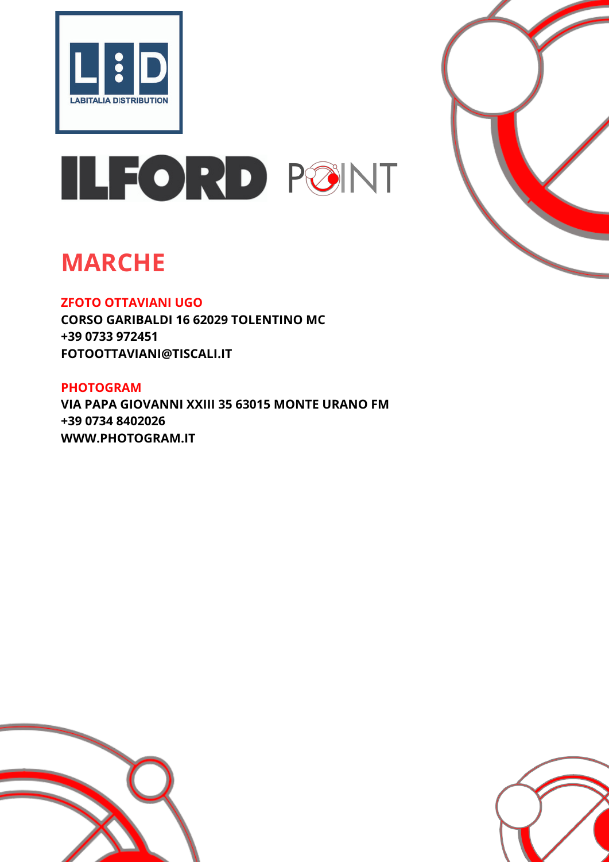



## **MARCHE**

## **ZFOTO OTTAVIANI UGO**

**CORSO GARIBALDI 16 62029 TOLENTINO MC +39 0733 972451 FOTOOTTAVIANI@TISCALI.IT**

## **PHOTOGRAM VIA PAPA GIOVANNI XXIII 35 63015 MONTE URANO FM +39 0734 8402026 WWW.PHOTOGRAM.IT**



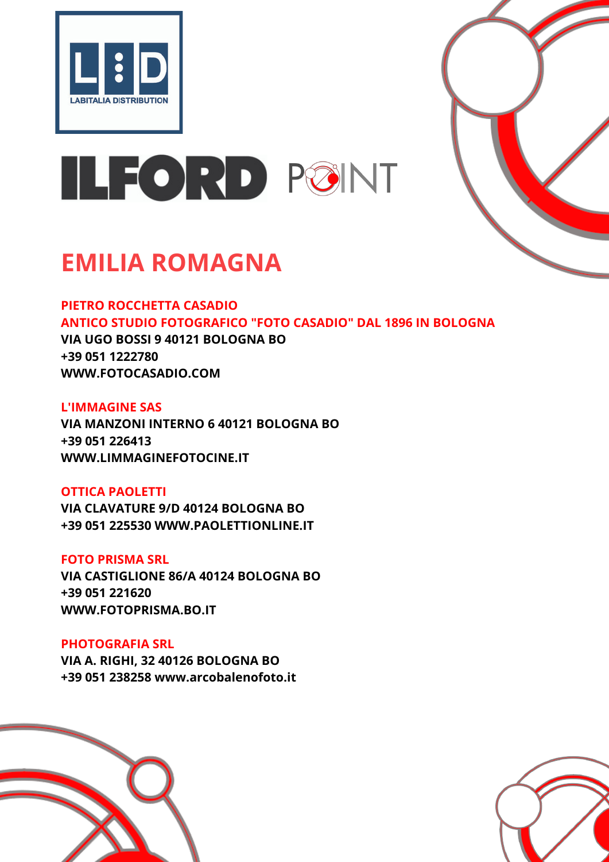



## **EMILIA ROMAGNA**

**PIETRO ROCCHETTA CASADIO ANTICO STUDIO FOTOGRAFICO "FOTO CASADIO" DAL 1896 IN BOLOGNA VIA UGO BOSSI 9 40121 BOLOGNA BO**

**+39 051 1222780 WWW.FOTOCASADIO.COM**

## **L'IMMAGINE SAS**

**VIA MANZONI INTERNO 6 40121 BOLOGNA BO +39 051 226413 WWW.LIMMAGINEFOTOCINE.IT**

## **OTTICA PAOLETTI**

**VIA CLAVATURE 9/D 40124 BOLOGNA BO +39 051 225530 WWW.PAOLETTIONLINE.IT**

## **FOTO PRISMA SRL**

**VIA CASTIGLIONE 86/A 40124 BOLOGNA BO +39 051 221620 WWW.FOTOPRISMA.BO.IT**

## **PHOTOGRAFIA SRL**

**VIA A. RIGHI, 32 40126 BOLOGNA BO +39 051 238258 www.arcobalenofoto.it**



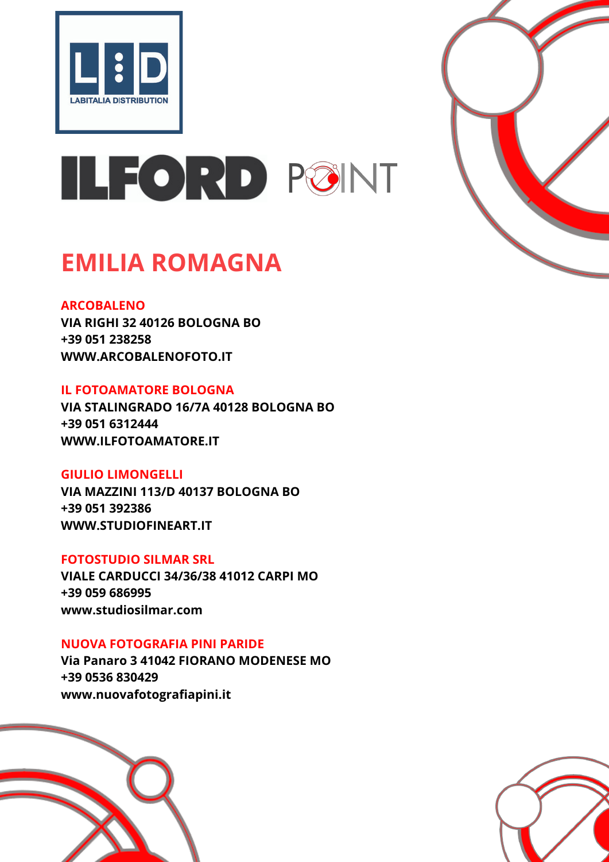



## **EMILIA ROMAGNA**

#### **ARCOBALENO**

**VIA RIGHI 32 40126 BOLOGNA BO +39 051 238258 WWW.ARCOBALENOFOTO.IT**

## **IL FOTOAMATORE BOLOGNA**

**VIA STALINGRADO 16/7A 40128 BOLOGNA BO +39 051 6312444 WWW.ILFOTOAMATORE.IT**

## **GIULIO LIMONGELLI**

**VIA MAZZINI 113/D 40137 BOLOGNA BO +39 051 392386 WWW.STUDIOFINEART.IT**

## **FOTOSTUDIO SILMAR SRL**

**VIALE CARDUCCI 34/36/38 41012 CARPI MO +39 059 686995 www.studiosilmar.com**

## **NUOVA FOTOGRAFIA PINI PARIDE**

**Via Panaro 3 41042 FIORANO MODENESE MO +39 0536 830429 www.nuovafotografiapini.it**



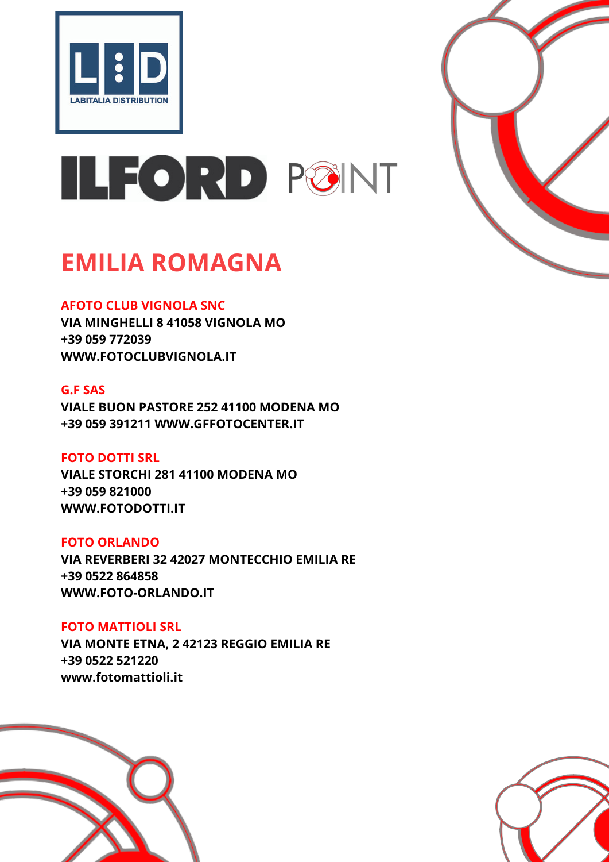



## **EMILIA ROMAGNA**

## **AFOTO CLUB VIGNOLA SNC**

**VIA MINGHELLI 8 41058 VIGNOLA MO +39 059 772039 WWW.FOTOCLUBVIGNOLA.IT**

## **G.F SAS**

**VIALE BUON PASTORE 252 41100 MODENA MO +39 059 391211 WWW.GFFOTOCENTER.IT**

## **FOTO DOTTI SRL**

**VIALE STORCHI 281 41100 MODENA MO +39 059 821000 WWW.FOTODOTTI.IT**

#### **FOTO ORLANDO**

**VIA REVERBERI 32 42027 MONTECCHIO EMILIA RE +39 0522 864858 WWW.FOTO-ORLANDO.IT**

**FOTO MATTIOLI SRL VIA MONTE ETNA, 2 42123 REGGIO EMILIA RE +39 0522 521220 www.fotomattioli.it**



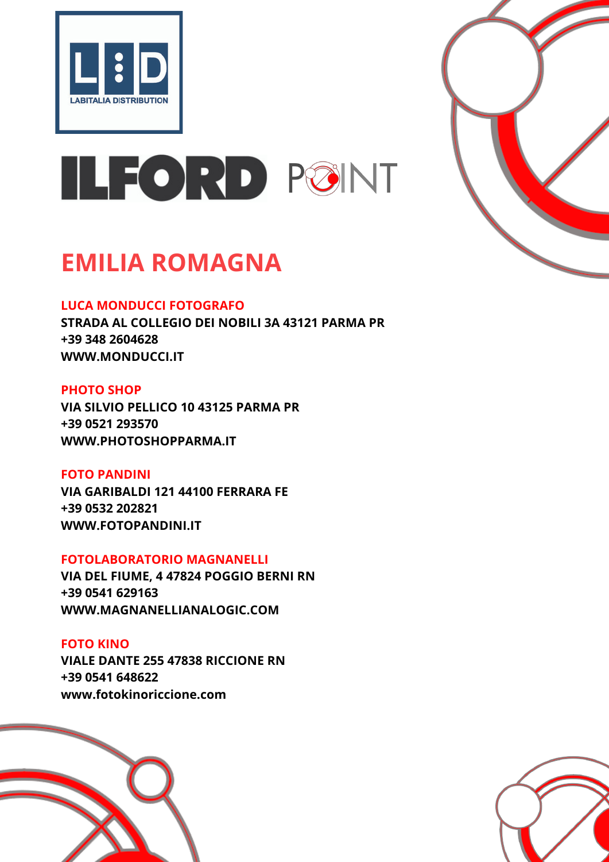



## **EMILIA ROMAGNA**

## **LUCA MONDUCCI FOTOGRAFO**

**STRADA AL COLLEGIO DEI NOBILI 3A 43121 PARMA PR +39 348 2604628 WWW.MONDUCCI.IT**

## **PHOTO SHOP**

**VIA SILVIO PELLICO 10 43125 PARMA PR +39 0521 293570 WWW.PHOTOSHOPPARMA.IT**

## **FOTO PANDINI**

**VIA GARIBALDI 121 44100 FERRARA FE +39 0532 202821 WWW.FOTOPANDINI.IT**

## **FOTOLABORATORIO MAGNANELLI**

**VIA DEL FIUME, 4 47824 POGGIO BERNI RN +39 0541 629163 WWW.MAGNANELLIANALOGIC.COM**

## **FOTO KINO**

**VIALE DANTE 255 47838 RICCIONE RN +39 0541 648622 www.fotokinoriccione.com**



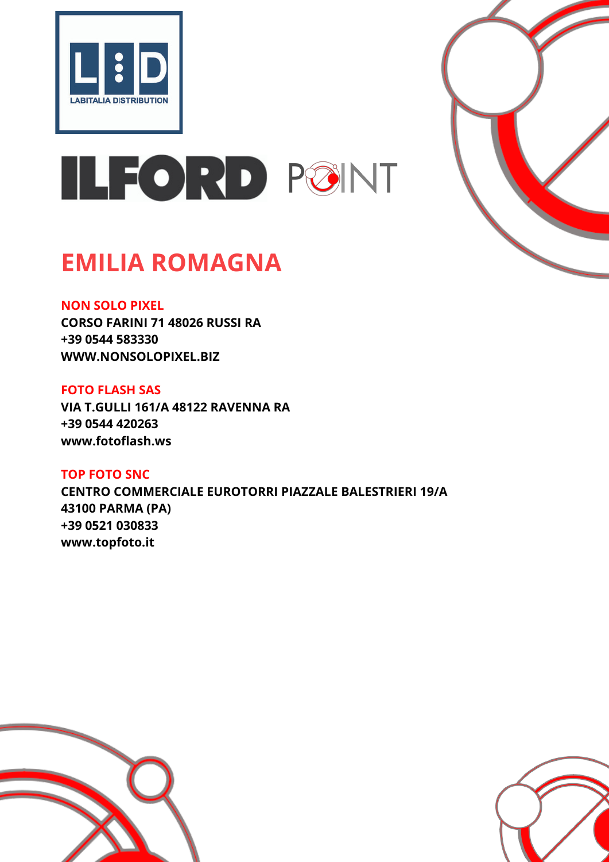



## **EMILIA ROMAGNA**

## **NON SOLO PIXEL**

**CORSO FARINI 71 48026 RUSSI RA +39 0544 583330 WWW.NONSOLOPIXEL.BIZ**

#### **FOTO FLASH SAS**

**VIA T.GULLI 161/A 48122 RAVENNA RA +39 0544 420263 www.fotoflash.ws**

**TOP FOTO SNC CENTRO COMMERCIALE EUROTORRI PIAZZALE BALESTRIERI 19/A 43100 PARMA (PA) +39 0521 030833 www.topfoto.it**